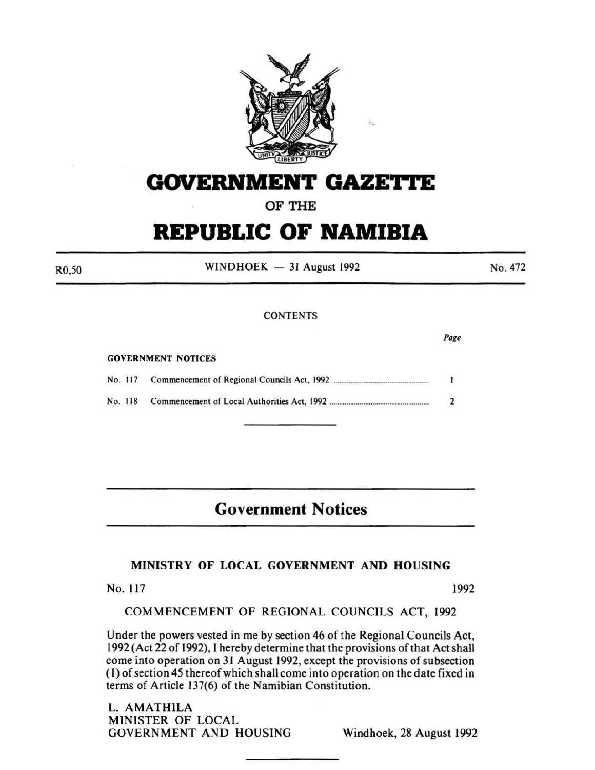

## **GOVERNMENT GAZETTE**

## **OF THE**

# **REPUBLIC OF NAMIBIA**

 $WINDHOEK - 31$  August 1992

No. 472

### **CONTENTS**

#### GOVERNMENT NOTICES

| No. 117<br>No. 118 |  |
|--------------------|--|
|                    |  |

## **Government Notices**

## **MINISTRY OF LOCAL GOVERNMENT AND HOUSING**

No. 117 1992

COMMENCEMENT OF REGIONAL COUNCILS ACT, 1992

Under the powers vested in me by section 46 of the Regional Councils Act, 1992 (Act 22 of 1992), I hereby determine that the provisions of that Act shall come into operation on 31 August 1992, except the provisions of subsection (I) of section 45 thereof which shall come into operation on the date fixed in terms of Article 137(6) of the Namibian Constitution.

L. AMATHILA MINISTER OF LOCAL GOVERNMENT AND HOUSING Windhoek, 28 August 1992

R0,50

*Page*